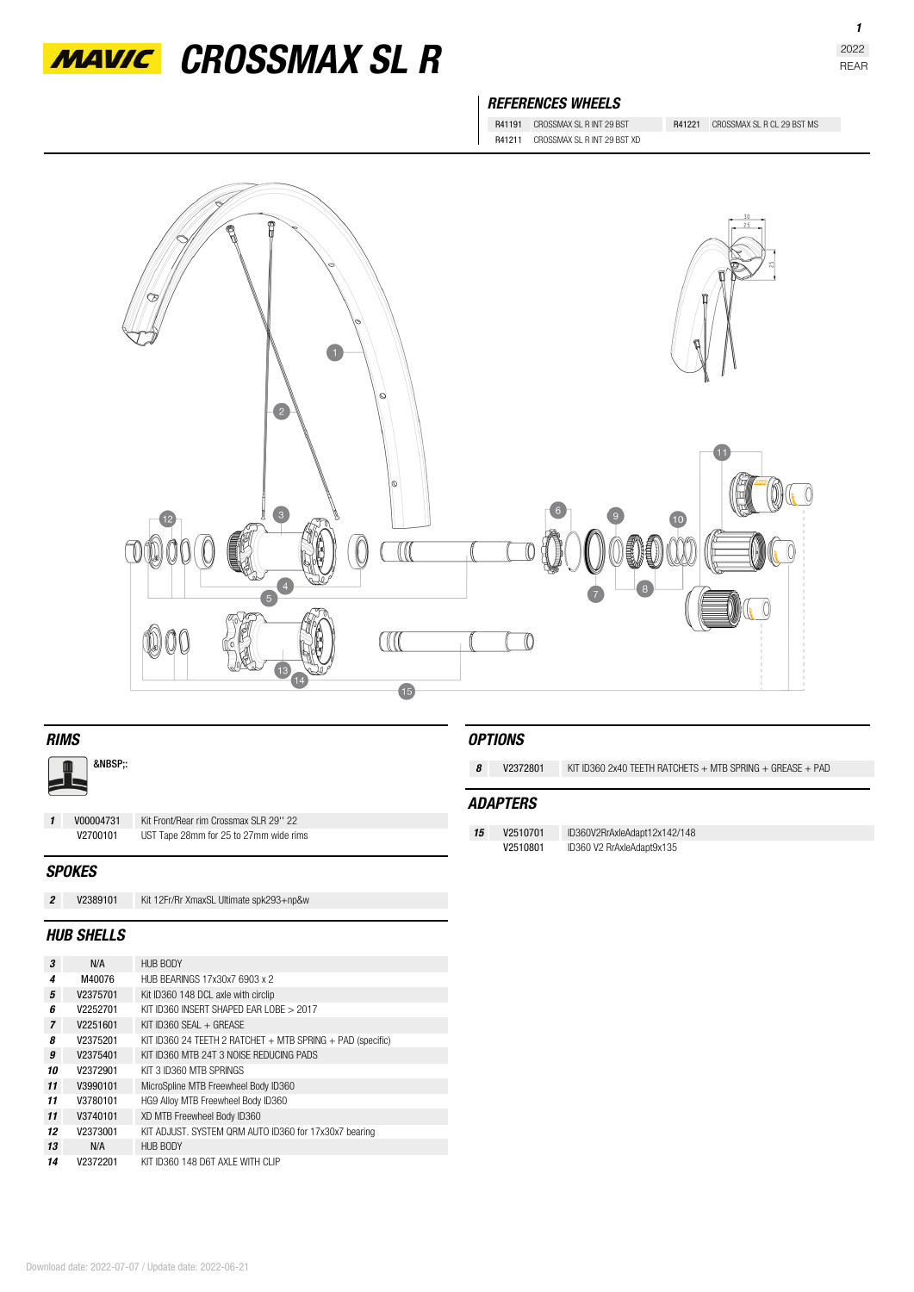

*MAVIC* CROSSMAX SL R

## *REFERENCES WHEELS*

R41191 CROSSMAX SL R INT 29 BST R41221 CROSSMAX SL R CL 29 BST MS R41211 CROSSMAX SL R INT 29 BST XD



| <b>RIMS</b>    |           |                                         | <b>OPTIONS</b>  |          |                                                                 |
|----------------|-----------|-----------------------------------------|-----------------|----------|-----------------------------------------------------------------|
| :              |           |                                         | 8               | V2372801 | KIT ID360 2x40 TEETH RATCHETS $+$ MTB SPRING $+$ GREASE $+$ PAD |
|                |           |                                         | <b>ADAPTERS</b> |          |                                                                 |
| $\mathbf{1}$   | V00004731 | Kit Front/Rear rim Crossmax SLR 29" 22  |                 |          |                                                                 |
|                | V2700101  | UST Tape 28mm for 25 to 27mm wide rims  | 15              | V2510701 | ID360V2RrAxleAdapt12x142/148                                    |
|                |           |                                         |                 | V2510801 | ID360 V2 RrAxleAdapt9x135                                       |
| <b>SPOKES</b>  |           |                                         |                 |          |                                                                 |
| $\overline{c}$ | V2389101  | Kit 12Fr/Rr XmaxSL Ultimate spk293+np&w |                 |          |                                                                 |
|                |           |                                         |                 |          |                                                                 |

## *HUB SHELLS*

| 3              | N/A      | HUB BODY                                                       |
|----------------|----------|----------------------------------------------------------------|
| 4              | M40076   | HUB BEARINGS 17x30x7 6903 x 2                                  |
| 5              | V2375701 | Kit ID360 148 DCL axle with circlip                            |
| 6              | V2252701 | KIT ID360 INSERT SHAPED FAR LOBE > 2017                        |
| $\overline{7}$ | V2251601 | KIT ID360 SFAI $+$ GREASE                                      |
| я              | V2375201 | KIT ID360 24 TEETH 2 RATCHET $+$ MTB SPRING $+$ PAD (specific) |
| 9              | V2375401 | KIT ID360 MTB 24T 3 NOISE REDUCING PADS                        |
| 10             | V2372901 | KIT 3 ID360 MTB SPRINGS                                        |
| 11             | V3990101 | MicroSpline MTB Freewheel Body ID360                           |
| 11             | V3780101 | HG9 Alloy MTB Freewheel Body ID360                             |
| 11             | V3740101 | XD MTB Freewheel Body ID360                                    |
| 12             | V2373001 | KIT ADJUST. SYSTEM QRM AUTO ID360 for 17x30x7 bearing          |
| 13             | N/A      | <b>HUB BODY</b>                                                |
| 14             | V2372201 | KIT ID360 148 D6T AXLE WITH CLIP                               |